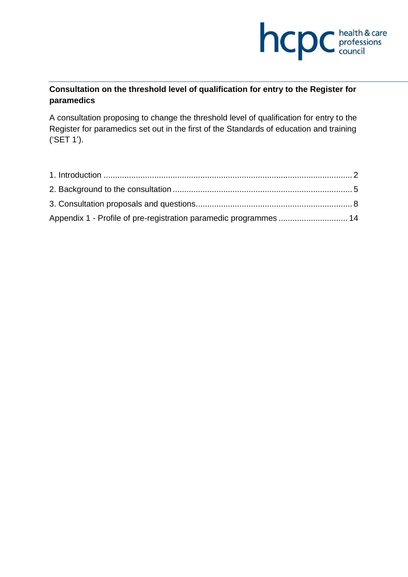

# **Consultation on the threshold level of qualification for entry to the Register for paramedics**

A consultation proposing to change the threshold level of qualification for entry to the Register for paramedics set out in the first of the Standards of education and training ('SET 1').

| Appendix 1 - Profile of pre-registration paramedic programmes  14 |  |
|-------------------------------------------------------------------|--|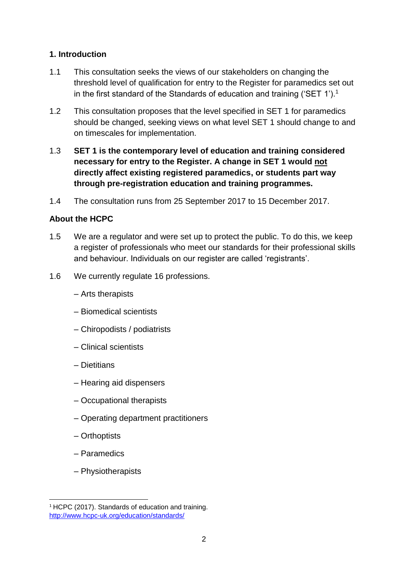### **1. Introduction**

- 1.1 This consultation seeks the views of our stakeholders on changing the threshold level of qualification for entry to the Register for paramedics set out in the first standard of the Standards of education and training ('SET 1'). 1
- 1.2 This consultation proposes that the level specified in SET 1 for paramedics should be changed, seeking views on what level SET 1 should change to and on timescales for implementation.
- 1.3 **SET 1 is the contemporary level of education and training considered necessary for entry to the Register. A change in SET 1 would not directly affect existing registered paramedics, or students part way through pre-registration education and training programmes.**
- 1.4 The consultation runs from 25 September 2017 to 15 December 2017.

### **About the HCPC**

- 1.5 We are a regulator and were set up to protect the public. To do this, we keep a register of professionals who meet our standards for their professional skills and behaviour. Individuals on our register are called 'registrants'.
- 1.6 We currently regulate 16 professions.
	- Arts therapists
	- Biomedical scientists
	- Chiropodists / podiatrists
	- Clinical scientists
	- Dietitians
	- Hearing aid dispensers
	- Occupational therapists
	- Operating department practitioners
	- Orthoptists
	- Paramedics
	- Physiotherapists

**<sup>.</sup>** <sup>1</sup> HCPC (2017). Standards of education and training. http://www.hcpc-uk.org/education/standards/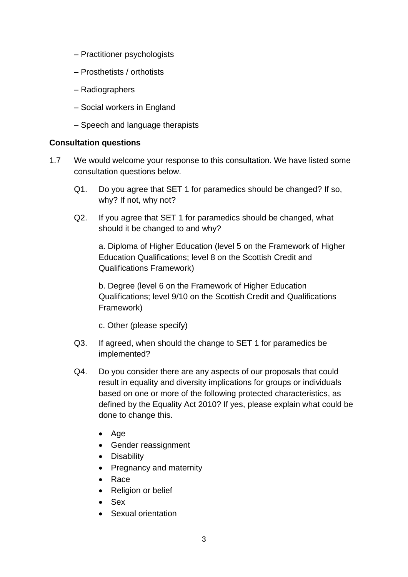- Practitioner psychologists
- Prosthetists / orthotists
- Radiographers
- Social workers in England
- Speech and language therapists

#### **Consultation questions**

- 1.7 We would welcome your response to this consultation. We have listed some consultation questions below.
	- Q1. Do you agree that SET 1 for paramedics should be changed? If so, why? If not, why not?
	- Q2. If you agree that SET 1 for paramedics should be changed, what should it be changed to and why?

a. Diploma of Higher Education (level 5 on the Framework of Higher Education Qualifications; level 8 on the Scottish Credit and Qualifications Framework)

b. Degree (level 6 on the Framework of Higher Education Qualifications; level 9/10 on the Scottish Credit and Qualifications Framework)

c. Other (please specify)

- Q3. If agreed, when should the change to SET 1 for paramedics be implemented?
- Q4. Do you consider there are any aspects of our proposals that could result in equality and diversity implications for groups or individuals based on one or more of the following protected characteristics, as defined by the Equality Act 2010? If yes, please explain what could be done to change this.
	- Age
	- Gender reassignment
	- Disability
	- Pregnancy and maternity
	- Race
	- Religion or belief
	- Sex
	- Sexual orientation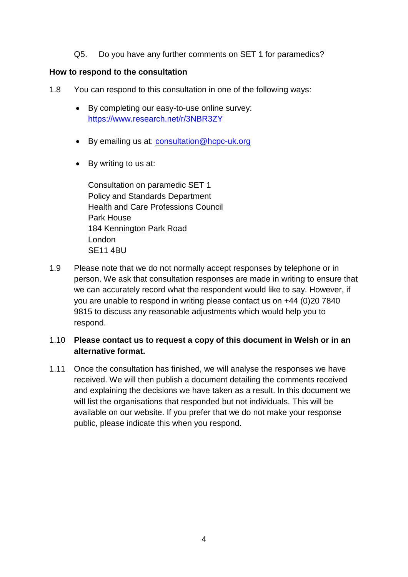Q5. Do you have any further comments on SET 1 for paramedics?

#### **How to respond to the consultation**

- 1.8 You can respond to this consultation in one of the following ways:
	- By completing our easy-to-use online survey: https://www.research.net/r/3NBR3ZY
	- By emailing us at: consultation@hcpc-uk.org
	- By writing to us at:

Consultation on paramedic SET 1 Policy and Standards Department Health and Care Professions Council Park House 184 Kennington Park Road London SE11 4BU

1.9 Please note that we do not normally accept responses by telephone or in person. We ask that consultation responses are made in writing to ensure that we can accurately record what the respondent would like to say. However, if you are unable to respond in writing please contact us on +44 (0)20 7840 9815 to discuss any reasonable adjustments which would help you to respond.

### 1.10 **Please contact us to request a copy of this document in Welsh or in an alternative format.**

1.11 Once the consultation has finished, we will analyse the responses we have received. We will then publish a document detailing the comments received and explaining the decisions we have taken as a result. In this document we will list the organisations that responded but not individuals. This will be available on our website. If you prefer that we do not make your response public, please indicate this when you respond.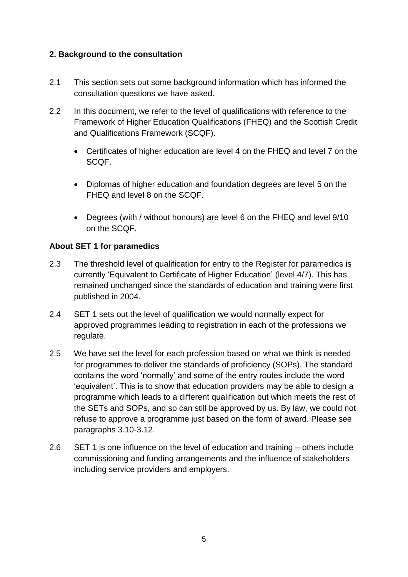### **2. Background to the consultation**

- 2.1 This section sets out some background information which has informed the consultation questions we have asked.
- 2.2 In this document, we refer to the level of qualifications with reference to the Framework of Higher Education Qualifications (FHEQ) and the Scottish Credit and Qualifications Framework (SCQF).
	- Certificates of higher education are level 4 on the FHEQ and level 7 on the SCQF.
	- Diplomas of higher education and foundation degrees are level 5 on the FHEQ and level 8 on the SCQF.
	- Degrees (with / without honours) are level 6 on the FHEQ and level 9/10 on the SCQF.

### **About SET 1 for paramedics**

- 2.3 The threshold level of qualification for entry to the Register for paramedics is currently 'Equivalent to Certificate of Higher Education' (level 4/7). This has remained unchanged since the standards of education and training were first published in 2004.
- 2.4 SET 1 sets out the level of qualification we would normally expect for approved programmes leading to registration in each of the professions we regulate.
- 2.5 We have set the level for each profession based on what we think is needed for programmes to deliver the standards of proficiency (SOPs). The standard contains the word 'normally' and some of the entry routes include the word 'equivalent'. This is to show that education providers may be able to design a programme which leads to a different qualification but which meets the rest of the SETs and SOPs, and so can still be approved by us. By law, we could not refuse to approve a programme just based on the form of award. Please see paragraphs 3.10-3.12.
- 2.6 SET 1 is one influence on the level of education and training others include commissioning and funding arrangements and the influence of stakeholders including service providers and employers.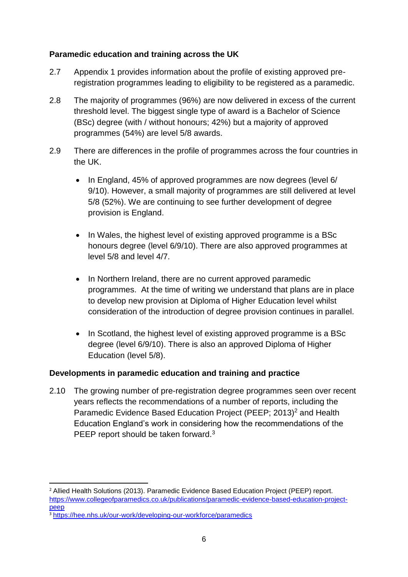#### **Paramedic education and training across the UK**

- 2.7 Appendix 1 provides information about the profile of existing approved preregistration programmes leading to eligibility to be registered as a paramedic.
- 2.8 The majority of programmes (96%) are now delivered in excess of the current threshold level. The biggest single type of award is a Bachelor of Science (BSc) degree (with / without honours; 42%) but a majority of approved programmes (54%) are level 5/8 awards.
- 2.9 There are differences in the profile of programmes across the four countries in the UK.
	- In England, 45% of approved programmes are now degrees (level 6/ 9/10). However, a small majority of programmes are still delivered at level 5/8 (52%). We are continuing to see further development of degree provision is England.
	- In Wales, the highest level of existing approved programme is a BSc honours degree (level 6/9/10). There are also approved programmes at level 5/8 and level 4/7.
	- In Northern Ireland, there are no current approved paramedic programmes. At the time of writing we understand that plans are in place to develop new provision at Diploma of Higher Education level whilst consideration of the introduction of degree provision continues in parallel.
	- In Scotland, the highest level of existing approved programme is a BSc degree (level 6/9/10). There is also an approved Diploma of Higher Education (level 5/8).

### **Developments in paramedic education and training and practice**

2.10 The growing number of pre-registration degree programmes seen over recent years reflects the recommendations of a number of reports, including the Paramedic Evidence Based Education Project (PEEP; 2013)<sup>2</sup> and Health Education England's work in considering how the recommendations of the PEEP report should be taken forward.<sup>3</sup>

**<sup>.</sup>** <sup>2</sup> Allied Health Solutions (2013). Paramedic Evidence Based Education Project (PEEP) report. https://www.collegeofparamedics.co.uk/publications/paramedic-evidence-based-education-projectpeep

<sup>&</sup>lt;sup>3</sup> https://hee.nhs.uk/our-work/developing-our-workforce/paramedics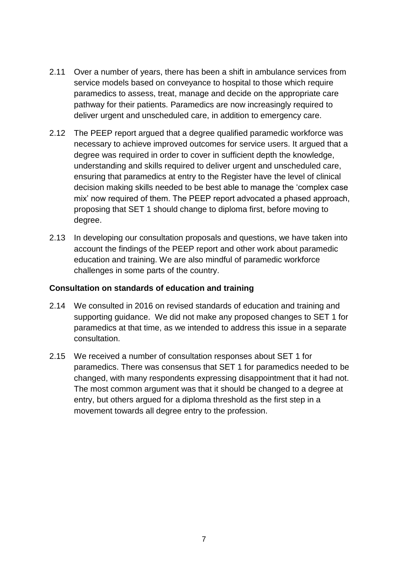- 2.11 Over a number of years, there has been a shift in ambulance services from service models based on conveyance to hospital to those which require paramedics to assess, treat, manage and decide on the appropriate care pathway for their patients. Paramedics are now increasingly required to deliver urgent and unscheduled care, in addition to emergency care.
- 2.12 The PEEP report argued that a degree qualified paramedic workforce was necessary to achieve improved outcomes for service users. It argued that a degree was required in order to cover in sufficient depth the knowledge, understanding and skills required to deliver urgent and unscheduled care, ensuring that paramedics at entry to the Register have the level of clinical decision making skills needed to be best able to manage the 'complex case mix' now required of them. The PEEP report advocated a phased approach, proposing that SET 1 should change to diploma first, before moving to degree.
- 2.13 In developing our consultation proposals and questions, we have taken into account the findings of the PEEP report and other work about paramedic education and training. We are also mindful of paramedic workforce challenges in some parts of the country.

#### **Consultation on standards of education and training**

- 2.14 We consulted in 2016 on revised standards of education and training and supporting guidance. We did not make any proposed changes to SET 1 for paramedics at that time, as we intended to address this issue in a separate consultation.
- 2.15 We received a number of consultation responses about SET 1 for paramedics. There was consensus that SET 1 for paramedics needed to be changed, with many respondents expressing disappointment that it had not. The most common argument was that it should be changed to a degree at entry, but others argued for a diploma threshold as the first step in a movement towards all degree entry to the profession.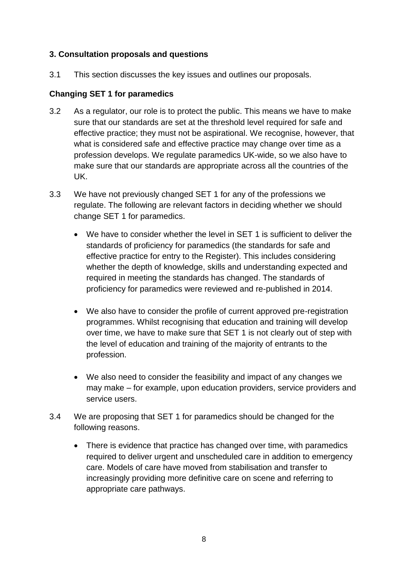### **3. Consultation proposals and questions**

3.1 This section discusses the key issues and outlines our proposals.

### **Changing SET 1 for paramedics**

- 3.2 As a regulator, our role is to protect the public. This means we have to make sure that our standards are set at the threshold level required for safe and effective practice; they must not be aspirational. We recognise, however, that what is considered safe and effective practice may change over time as a profession develops. We regulate paramedics UK-wide, so we also have to make sure that our standards are appropriate across all the countries of the UK.
- 3.3 We have not previously changed SET 1 for any of the professions we regulate. The following are relevant factors in deciding whether we should change SET 1 for paramedics.
	- We have to consider whether the level in SET 1 is sufficient to deliver the standards of proficiency for paramedics (the standards for safe and effective practice for entry to the Register). This includes considering whether the depth of knowledge, skills and understanding expected and required in meeting the standards has changed. The standards of proficiency for paramedics were reviewed and re-published in 2014.
	- We also have to consider the profile of current approved pre-registration programmes. Whilst recognising that education and training will develop over time, we have to make sure that SET 1 is not clearly out of step with the level of education and training of the majority of entrants to the profession.
	- We also need to consider the feasibility and impact of any changes we may make – for example, upon education providers, service providers and service users.
- 3.4 We are proposing that SET 1 for paramedics should be changed for the following reasons.
	- There is evidence that practice has changed over time, with paramedics required to deliver urgent and unscheduled care in addition to emergency care. Models of care have moved from stabilisation and transfer to increasingly providing more definitive care on scene and referring to appropriate care pathways.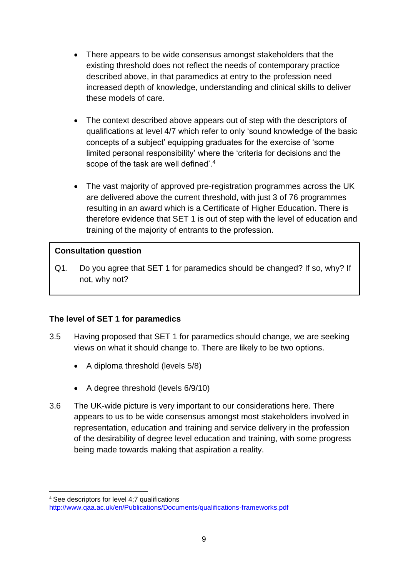- There appears to be wide consensus amongst stakeholders that the existing threshold does not reflect the needs of contemporary practice described above, in that paramedics at entry to the profession need increased depth of knowledge, understanding and clinical skills to deliver these models of care.
- The context described above appears out of step with the descriptors of qualifications at level 4/7 which refer to only 'sound knowledge of the basic concepts of a subject' equipping graduates for the exercise of 'some limited personal responsibility' where the 'criteria for decisions and the scope of the task are well defined<sup>'.4</sup>
- The vast majority of approved pre-registration programmes across the UK are delivered above the current threshold, with just 3 of 76 programmes resulting in an award which is a Certificate of Higher Education. There is therefore evidence that SET 1 is out of step with the level of education and training of the majority of entrants to the profession.

#### **Consultation question**

Q1. Do you agree that SET 1 for paramedics should be changed? If so, why? If not, why not?

### **The level of SET 1 for paramedics**

- 3.5 Having proposed that SET 1 for paramedics should change, we are seeking views on what it should change to. There are likely to be two options.
	- A diploma threshold (levels 5/8)
	- A degree threshold (levels 6/9/10)
- 3.6 The UK-wide picture is very important to our considerations here. There appears to us to be wide consensus amongst most stakeholders involved in representation, education and training and service delivery in the profession of the desirability of degree level education and training, with some progress being made towards making that aspiration a reality.

<sup>1</sup> <sup>4</sup> See descriptors for level 4;7 qualifications http://www.qaa.ac.uk/en/Publications/Documents/qualifications-frameworks.pdf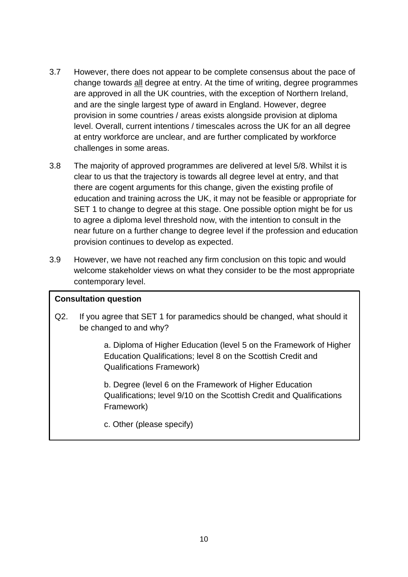- 3.7 However, there does not appear to be complete consensus about the pace of change towards all degree at entry. At the time of writing, degree programmes are approved in all the UK countries, with the exception of Northern Ireland, and are the single largest type of award in England. However, degree provision in some countries / areas exists alongside provision at diploma level. Overall, current intentions / timescales across the UK for an all degree at entry workforce are unclear, and are further complicated by workforce challenges in some areas.
- 3.8 The majority of approved programmes are delivered at level 5/8. Whilst it is clear to us that the trajectory is towards all degree level at entry, and that there are cogent arguments for this change, given the existing profile of education and training across the UK, it may not be feasible or appropriate for SET 1 to change to degree at this stage. One possible option might be for us to agree a diploma level threshold now, with the intention to consult in the near future on a further change to degree level if the profession and education provision continues to develop as expected.
- 3.9 However, we have not reached any firm conclusion on this topic and would welcome stakeholder views on what they consider to be the most appropriate contemporary level.

### **Consultation question**

Q2. If you agree that SET 1 for paramedics should be changed, what should it be changed to and why?

> a. Diploma of Higher Education (level 5 on the Framework of Higher Education Qualifications; level 8 on the Scottish Credit and Qualifications Framework)

b. Degree (level 6 on the Framework of Higher Education Qualifications; level 9/10 on the Scottish Credit and Qualifications Framework)

c. Other (please specify)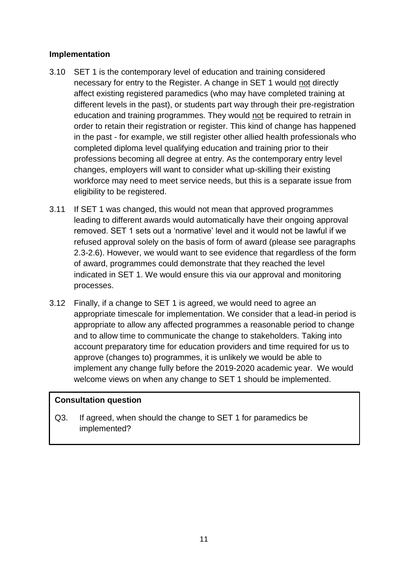#### **Implementation**

- 3.10 SET 1 is the contemporary level of education and training considered necessary for entry to the Register. A change in SET 1 would not directly affect existing registered paramedics (who may have completed training at different levels in the past), or students part way through their pre-registration education and training programmes. They would not be required to retrain in order to retain their registration or register. This kind of change has happened in the past - for example, we still register other allied health professionals who completed diploma level qualifying education and training prior to their professions becoming all degree at entry. As the contemporary entry level changes, employers will want to consider what up-skilling their existing workforce may need to meet service needs, but this is a separate issue from eligibility to be registered.
- 3.11 If SET 1 was changed, this would not mean that approved programmes leading to different awards would automatically have their ongoing approval removed. SET 1 sets out a 'normative' level and it would not be lawful if we refused approval solely on the basis of form of award (please see paragraphs 2.3-2.6). However, we would want to see evidence that regardless of the form of award, programmes could demonstrate that they reached the level indicated in SET 1. We would ensure this via our approval and monitoring processes.
- 3.12 Finally, if a change to SET 1 is agreed, we would need to agree an appropriate timescale for implementation. We consider that a lead-in period is appropriate to allow any affected programmes a reasonable period to change and to allow time to communicate the change to stakeholders. Taking into account preparatory time for education providers and time required for us to approve (changes to) programmes, it is unlikely we would be able to implement any change fully before the 2019-2020 academic year. We would welcome views on when any change to SET 1 should be implemented.

#### **Consultation question**

Q3. If agreed, when should the change to SET 1 for paramedics be implemented?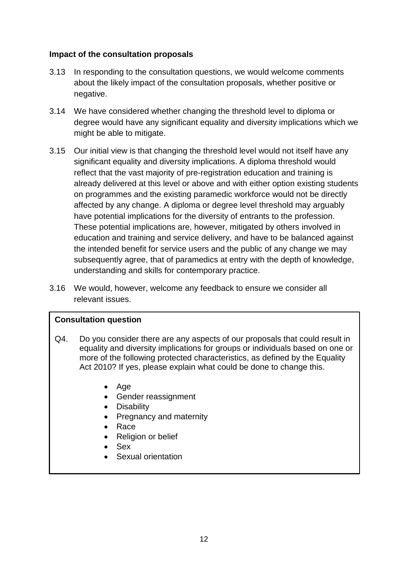#### **Impact of the consultation proposals**

- 3.13 In responding to the consultation questions, we would welcome comments about the likely impact of the consultation proposals, whether positive or negative.
- 3.14 We have considered whether changing the threshold level to diploma or degree would have any significant equality and diversity implications which we might be able to mitigate.
- 3.15 Our initial view is that changing the threshold level would not itself have any significant equality and diversity implications. A diploma threshold would reflect that the vast majority of pre-registration education and training is already delivered at this level or above and with either option existing students on programmes and the existing paramedic workforce would not be directly affected by any change. A diploma or degree level threshold may arguably have potential implications for the diversity of entrants to the profession. These potential implications are, however, mitigated by others involved in education and training and service delivery, and have to be balanced against the intended benefit for service users and the public of any change we may subsequently agree, that of paramedics at entry with the depth of knowledge, understanding and skills for contemporary practice.
- 3.16 We would, however, welcome any feedback to ensure we consider all relevant issues.

#### **Consultation question**

- Q4. Do you consider there are any aspects of our proposals that could result in equality and diversity implications for groups or individuals based on one or more of the following protected characteristics, as defined by the Equality Act 2010? If yes, please explain what could be done to change this.
	- Age
	- Gender reassignment
	- Disability
	- Pregnancy and maternity
	- Race
	- Religion or belief
	- Sex
	- Sexual orientation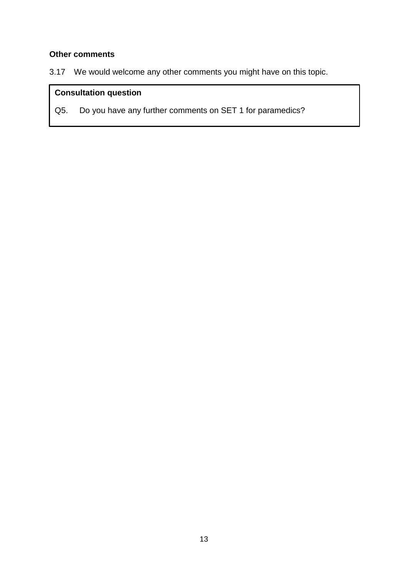## **Other comments**

3.17 We would welcome any other comments you might have on this topic.

# **Consultation question**

Q5. Do you have any further comments on SET 1 for paramedics?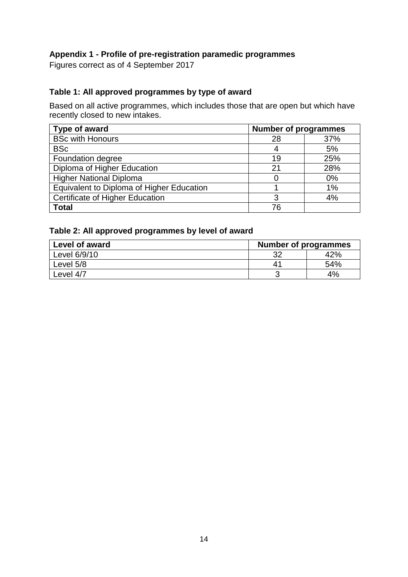### **Appendix 1 - Profile of pre-registration paramedic programmes**

Figures correct as of 4 September 2017

#### **Table 1: All approved programmes by type of award**

Based on all active programmes, which includes those that are open but which have recently closed to new intakes.

| Type of award                             | <b>Number of programmes</b> |     |
|-------------------------------------------|-----------------------------|-----|
| <b>BSc with Honours</b>                   | 28                          | 37% |
| <b>BSc</b>                                | 4                           | 5%  |
| Foundation degree                         | 19                          | 25% |
| Diploma of Higher Education               | 21                          | 28% |
| <b>Higher National Diploma</b>            |                             | 0%  |
| Equivalent to Diploma of Higher Education |                             | 1%  |
| <b>Certificate of Higher Education</b>    | З                           | 4%  |
| <b>Total</b>                              | 76                          |     |

### **Table 2: All approved programmes by level of award**

| <b>Level of award</b> | <b>Number of programmes</b> |     |  |
|-----------------------|-----------------------------|-----|--|
| Level 6/9/10          | າເ                          | 42% |  |
| Level 5/8             | 41                          | 54% |  |
| Level 4/7             |                             | 4%  |  |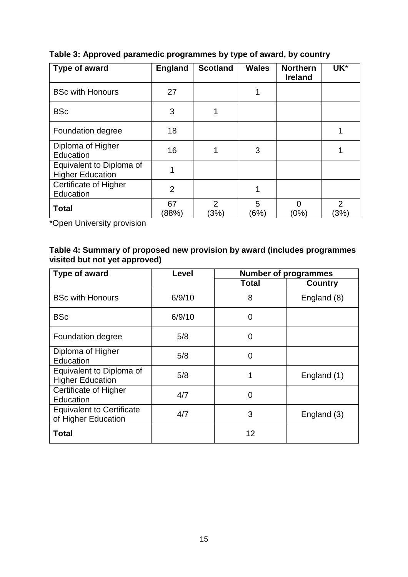| Type of award                                       | <b>England</b> | <b>Scotland</b>        | <b>Wales</b> | <b>Northern</b><br><b>Ireland</b> | UK*        |
|-----------------------------------------------------|----------------|------------------------|--------------|-----------------------------------|------------|
| <b>BSc with Honours</b>                             | 27             |                        |              |                                   |            |
| <b>BSc</b>                                          | 3              | 1                      |              |                                   |            |
| Foundation degree                                   | 18             |                        |              |                                   |            |
| Diploma of Higher<br>Education                      | 16             |                        | 3            |                                   |            |
| Equivalent to Diploma of<br><b>Higher Education</b> |                |                        |              |                                   |            |
| <b>Certificate of Higher</b><br>Education           | $\overline{2}$ |                        |              |                                   |            |
| <b>Total</b>                                        | 67<br>(88%)    | $\overline{2}$<br>(3%) | 5<br>(6%)    | 0<br>$(0\%)$                      | 2<br>$3\%$ |

**Table 3: Approved paramedic programmes by type of award, by country**

\*Open University provision

| Table 4: Summary of proposed new provision by award (includes programmes |  |
|--------------------------------------------------------------------------|--|
| visited but not yet approved)                                            |  |

| Type of award                                           | Level  | <b>Number of programmes</b> |                |  |
|---------------------------------------------------------|--------|-----------------------------|----------------|--|
|                                                         |        | <b>Total</b>                | <b>Country</b> |  |
| <b>BSc with Honours</b>                                 | 6/9/10 | 8                           | England (8)    |  |
| <b>BSc</b>                                              | 6/9/10 | 0                           |                |  |
| Foundation degree                                       | 5/8    | 0                           |                |  |
| Diploma of Higher<br>Education                          | 5/8    | 0                           |                |  |
| Equivalent to Diploma of<br><b>Higher Education</b>     | 5/8    | 1                           | England (1)    |  |
| <b>Certificate of Higher</b><br>Education               | 4/7    | 0                           |                |  |
| <b>Equivalent to Certificate</b><br>of Higher Education | 4/7    | 3                           | England (3)    |  |
| <b>Total</b>                                            |        | 12                          |                |  |